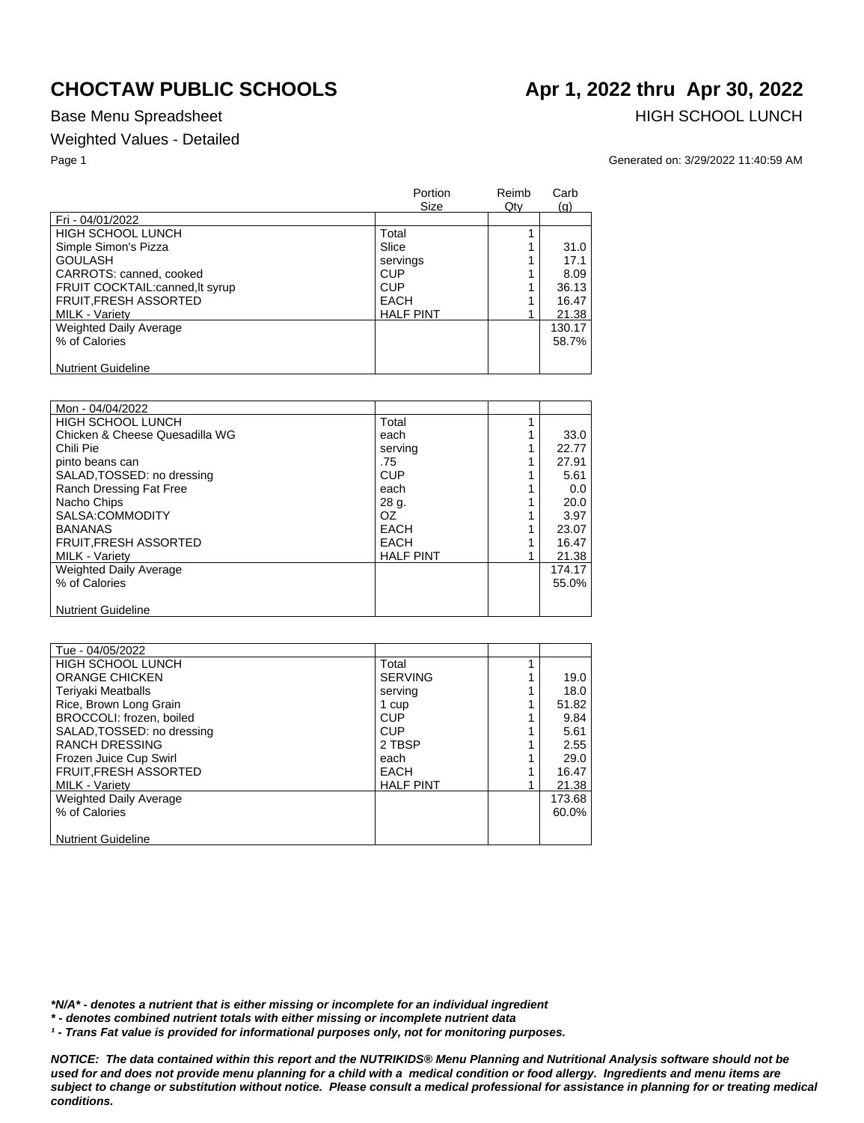### Weighted Values - Detailed

Base Menu Spreadsheet **HIGH SCHOOL LUNCH** 

Page 1 Generated on: 3/29/2022 11:40:59 AM

|                                | Portion<br>Size  | Reimb<br>Qty | Carb<br>(q) |
|--------------------------------|------------------|--------------|-------------|
| Fri - 04/01/2022               |                  |              |             |
| <b>HIGH SCHOOL LUNCH</b>       | Total            |              |             |
| Simple Simon's Pizza           | Slice            |              | 31.0        |
| <b>GOULASH</b>                 | servings         |              | 17.1        |
| CARROTS: canned, cooked        | <b>CUP</b>       |              | 8.09        |
| FRUIT COCKTAIL:canned.lt syrup | <b>CUP</b>       |              | 36.13       |
| <b>FRUIT, FRESH ASSORTED</b>   | <b>EACH</b>      |              | 16.47       |
| <b>MILK - Variety</b>          | <b>HALF PINT</b> |              | 21.38       |
| <b>Weighted Daily Average</b>  |                  |              | 130.17      |
| % of Calories                  |                  |              | 58.7%       |
| <b>Nutrient Guideline</b>      |                  |              |             |

| Mon - 04/04/2022               |                  |        |
|--------------------------------|------------------|--------|
| HIGH SCHOOL LUNCH              | Total            |        |
| Chicken & Cheese Quesadilla WG | each             | 33.0   |
| Chili Pie                      | serving          | 22.77  |
| pinto beans can                | .75              | 27.91  |
| SALAD, TOSSED: no dressing     | <b>CUP</b>       | 5.61   |
| Ranch Dressing Fat Free        | each             | 0.0    |
| Nacho Chips                    | 28 g.            | 20.0   |
| SALSA:COMMODITY                | OZ.              | 3.97   |
| <b>BANANAS</b>                 | <b>EACH</b>      | 23.07  |
| FRUIT, FRESH ASSORTED          | <b>EACH</b>      | 16.47  |
| <b>MILK - Variety</b>          | <b>HALF PINT</b> | 21.38  |
| <b>Weighted Daily Average</b>  |                  | 174.17 |
| % of Calories                  |                  | 55.0%  |
|                                |                  |        |
| <b>Nutrient Guideline</b>      |                  |        |

| Tue - 04/05/2022              |                  |        |
|-------------------------------|------------------|--------|
| HIGH SCHOOL LUNCH             | Total            |        |
| <b>ORANGE CHICKEN</b>         | <b>SERVING</b>   | 19.0   |
| <b>Teriyaki Meatballs</b>     | serving          | 18.0   |
| Rice, Brown Long Grain        | 1 cup            | 51.82  |
| BROCCOLI: frozen, boiled      | <b>CUP</b>       | 9.84   |
| SALAD, TOSSED: no dressing    | CUP              | 5.61   |
| <b>RANCH DRESSING</b>         | 2 TBSP           | 2.55   |
| Frozen Juice Cup Swirl        | each             | 29.0   |
| <b>FRUIT, FRESH ASSORTED</b>  | EACH             | 16.47  |
| <b>MILK - Variety</b>         | <b>HALF PINT</b> | 21.38  |
| <b>Weighted Daily Average</b> |                  | 173.68 |
| % of Calories                 |                  | 60.0%  |
|                               |                  |        |
| <b>Nutrient Guideline</b>     |                  |        |

*\*N/A\* - denotes a nutrient that is either missing or incomplete for an individual ingredient*

*\* - denotes combined nutrient totals with either missing or incomplete nutrient data*

*¹ - Trans Fat value is provided for informational purposes only, not for monitoring purposes.*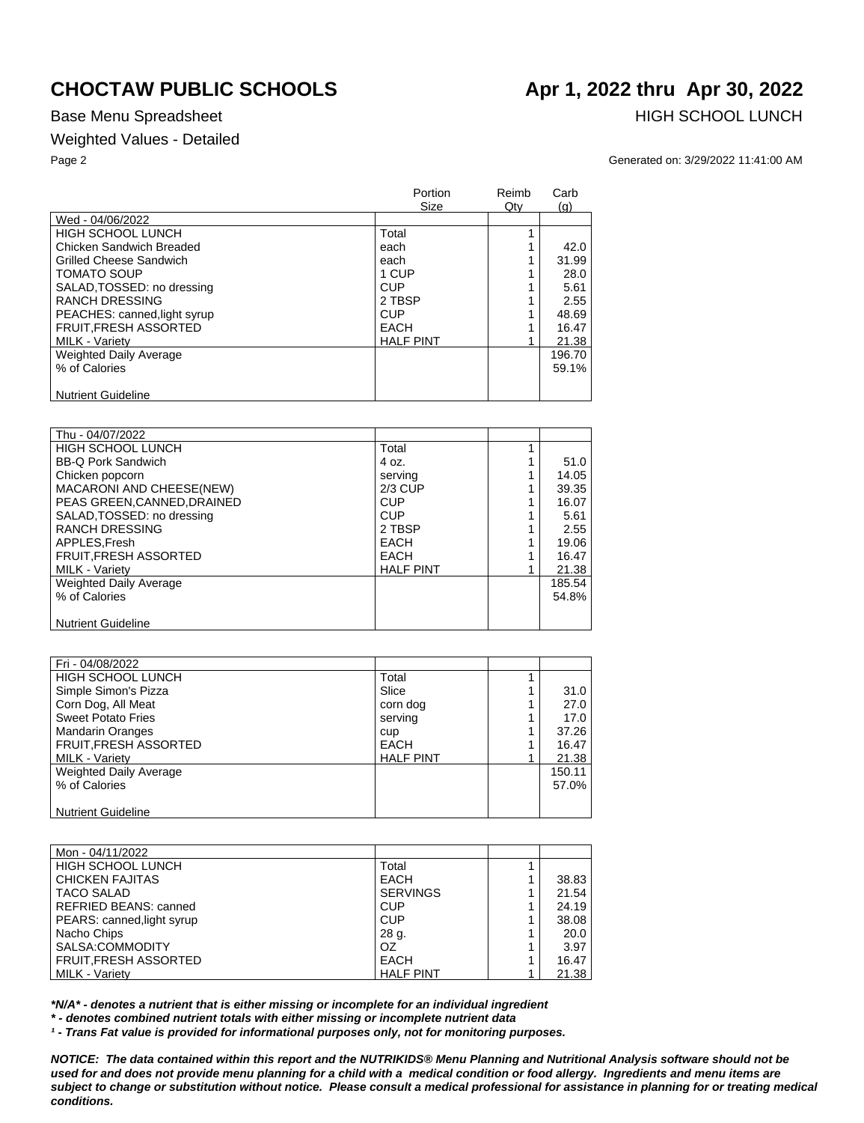## Weighted Values - Detailed

Base Menu Spreadsheet **HIGH SCHOOL LUNCH** 

Page 2 Generated on: 3/29/2022 11:41:00 AM

|                                | Portion<br>Size  | Reimb<br>Qty | Carb<br>(g) |
|--------------------------------|------------------|--------------|-------------|
| Wed - 04/06/2022               |                  |              |             |
| <b>HIGH SCHOOL LUNCH</b>       | Total            |              |             |
| Chicken Sandwich Breaded       | each             |              | 42.0        |
| <b>Grilled Cheese Sandwich</b> | each             |              | 31.99       |
| <b>TOMATO SOUP</b>             | 1 CUP            |              | 28.0        |
| SALAD, TOSSED: no dressing     | <b>CUP</b>       |              | 5.61        |
| <b>RANCH DRESSING</b>          | 2 TBSP           |              | 2.55        |
| PEACHES: canned, light syrup   | <b>CUP</b>       |              | 48.69       |
| <b>FRUIT, FRESH ASSORTED</b>   | <b>EACH</b>      |              | 16.47       |
| <b>MILK - Variety</b>          | <b>HALF PINT</b> |              | 21.38       |
| <b>Weighted Daily Average</b>  |                  |              | 196.70      |
| % of Calories                  |                  |              | 59.1%       |
| <b>Nutrient Guideline</b>      |                  |              |             |

| Thu - 04/07/2022              |                  |        |
|-------------------------------|------------------|--------|
| <b>HIGH SCHOOL LUNCH</b>      | Total            |        |
| <b>BB-Q Pork Sandwich</b>     | 4 oz.            | 51.0   |
| Chicken popcorn               | serving          | 14.05  |
| MACARONI AND CHEESE(NEW)      | $2/3$ CUP        | 39.35  |
| PEAS GREEN, CANNED, DRAINED   | <b>CUP</b>       | 16.07  |
| SALAD, TOSSED: no dressing    | <b>CUP</b>       | 5.61   |
| <b>RANCH DRESSING</b>         | 2 TBSP           | 2.55   |
| APPLES.Fresh                  | EACH             | 19.06  |
| <b>FRUIT, FRESH ASSORTED</b>  | EACH             | 16.47  |
| MILK - Variety                | <b>HALF PINT</b> | 21.38  |
| <b>Weighted Daily Average</b> |                  | 185.54 |
| % of Calories                 |                  | 54.8%  |
|                               |                  |        |
| <b>Nutrient Guideline</b>     |                  |        |

| Fri - 04/08/2022              |                  |        |
|-------------------------------|------------------|--------|
| <b>HIGH SCHOOL LUNCH</b>      | Total            |        |
| Simple Simon's Pizza          | Slice            | 31.0   |
| Corn Dog, All Meat            | corn dog         | 27.0   |
| <b>Sweet Potato Fries</b>     | serving          | 17.0   |
| <b>Mandarin Oranges</b>       | cup              | 37.26  |
| FRUIT, FRESH ASSORTED         | <b>EACH</b>      | 16.47  |
| <b>MILK - Variety</b>         | <b>HALF PINT</b> | 21.38  |
| <b>Weighted Daily Average</b> |                  | 150.11 |
| % of Calories                 |                  | 57.0%  |
|                               |                  |        |
| Nutrient Guideline            |                  |        |

| Mon - 04/11/2022             |                  |   |       |
|------------------------------|------------------|---|-------|
| <b>HIGH SCHOOL LUNCH</b>     | Total            |   |       |
| <b>CHICKEN FAJITAS</b>       | <b>EACH</b>      | 4 | 38.83 |
| <b>TACO SALAD</b>            | <b>SERVINGS</b>  |   | 21.54 |
| <b>REFRIED BEANS: canned</b> | <b>CUP</b>       |   | 24.19 |
| PEARS: canned, light syrup   | <b>CUP</b>       |   | 38.08 |
| Nacho Chips                  | 28 g.            | 4 | 20.0  |
| SALSA:COMMODITY              | OZ               |   | 3.97  |
| FRUIT, FRESH ASSORTED        | EACH             |   | 16.47 |
| MILK - Variety               | <b>HALF PINT</b> |   | 21.38 |

*\*N/A\* - denotes a nutrient that is either missing or incomplete for an individual ingredient*

*\* - denotes combined nutrient totals with either missing or incomplete nutrient data*

*¹ - Trans Fat value is provided for informational purposes only, not for monitoring purposes.*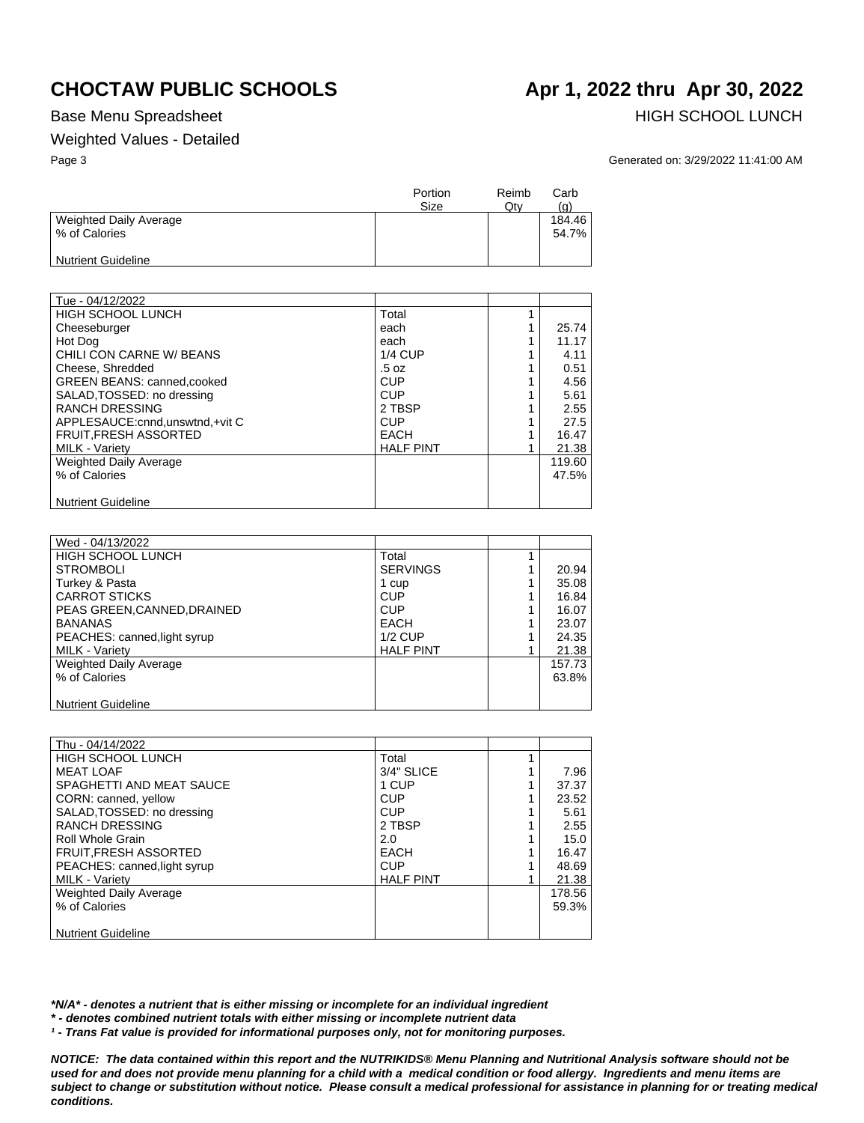### Weighted Values - Detailed

Base Menu Spreadsheet **HIGH SCHOOL LUNCH** 

Page 3 Generated on: 3/29/2022 11:41:00 AM

|                                         | Portion<br>Size | Reimb<br>Qtv | Carb<br>(g)     |
|-----------------------------------------|-----------------|--------------|-----------------|
| Weighted Daily Average<br>% of Calories |                 |              | 184.46<br>54.7% |
| Nutrient Guideline                      |                 |              |                 |

| Tue - 04/12/2022                  |                  |        |
|-----------------------------------|------------------|--------|
| <b>HIGH SCHOOL LUNCH</b>          | Total            |        |
| Cheeseburger                      | each             | 25.74  |
| Hot Dog                           | each             | 11.17  |
| CHILI CON CARNE W/ BEANS          | $1/4$ CUP        | 4.11   |
| Cheese, Shredded                  | .5 oz            | 0.51   |
| GREEN BEANS: canned, cooked       | <b>CUP</b>       | 4.56   |
| SALAD, TOSSED: no dressing        | <b>CUP</b>       | 5.61   |
| <b>RANCH DRESSING</b>             | 2 TBSP           | 2.55   |
| APPLESAUCE: cnnd, unswtnd, +vit C | <b>CUP</b>       | 27.5   |
| <b>FRUIT.FRESH ASSORTED</b>       | <b>EACH</b>      | 16.47  |
| <b>MILK - Variety</b>             | <b>HALF PINT</b> | 21.38  |
| <b>Weighted Daily Average</b>     |                  | 119.60 |
| % of Calories                     |                  | 47.5%  |
|                                   |                  |        |
| <b>Nutrient Guideline</b>         |                  |        |

| Wed - 04/13/2022             |                  |        |
|------------------------------|------------------|--------|
| <b>HIGH SCHOOL LUNCH</b>     | Total            |        |
| <b>STROMBOLI</b>             | <b>SERVINGS</b>  | 20.94  |
| Turkey & Pasta               | 1 cup            | 35.08  |
| <b>CARROT STICKS</b>         | <b>CUP</b>       | 16.84  |
| PEAS GREEN.CANNED.DRAINED    | <b>CUP</b>       | 16.07  |
| <b>BANANAS</b>               | <b>EACH</b>      | 23.07  |
| PEACHES: canned, light syrup | $1/2$ CUP        | 24.35  |
| <b>MILK - Varietv</b>        | <b>HALF PINT</b> | 21.38  |
| Weighted Daily Average       |                  | 157.73 |
| % of Calories                |                  | 63.8%  |
|                              |                  |        |
| <b>Nutrient Guideline</b>    |                  |        |

| Thu - 04/14/2022              |                  |        |
|-------------------------------|------------------|--------|
| <b>HIGH SCHOOL LUNCH</b>      | Total            |        |
| <b>MEAT LOAF</b>              | 3/4" SLICE       | 7.96   |
| SPAGHETTI AND MEAT SAUCE      | 1 CUP            | 37.37  |
| CORN: canned, yellow          | <b>CUP</b>       | 23.52  |
| SALAD, TOSSED: no dressing    | <b>CUP</b>       | 5.61   |
| <b>RANCH DRESSING</b>         | 2 TBSP           | 2.55   |
| Roll Whole Grain              | 2.0              | 15.0   |
| <b>FRUIT.FRESH ASSORTED</b>   | EACH             | 16.47  |
| PEACHES: canned, light syrup  | <b>CUP</b>       | 48.69  |
| <b>MILK - Varietv</b>         | <b>HALF PINT</b> | 21.38  |
| <b>Weighted Daily Average</b> |                  | 178.56 |
| % of Calories                 |                  | 59.3%  |
|                               |                  |        |
| <b>Nutrient Guideline</b>     |                  |        |

*\*N/A\* - denotes a nutrient that is either missing or incomplete for an individual ingredient*

*\* - denotes combined nutrient totals with either missing or incomplete nutrient data*

*¹ - Trans Fat value is provided for informational purposes only, not for monitoring purposes.*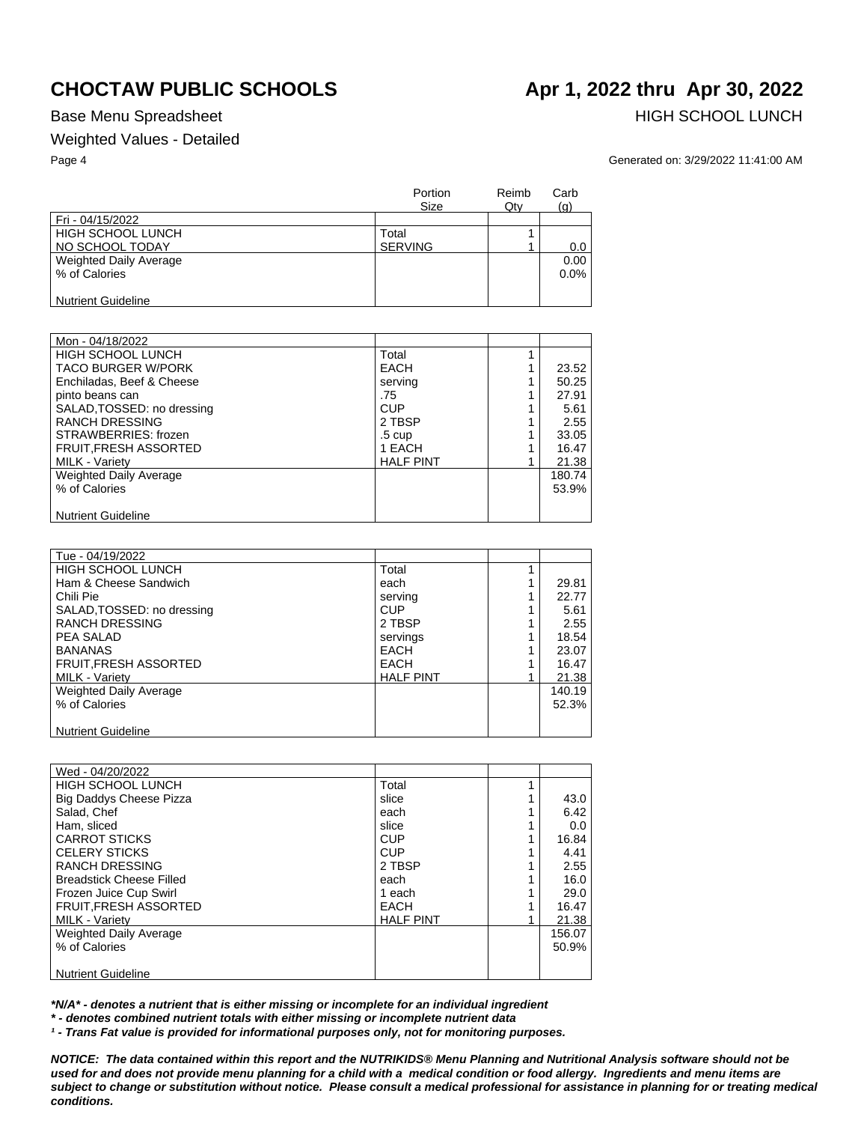### Weighted Values - Detailed

Base Menu Spreadsheet **HIGH SCHOOL LUNCH** 

Page 4 Generated on: 3/29/2022 11:41:00 AM

|                           | Portion<br>Size | Reimb<br>Qty | Carb<br>(q) |
|---------------------------|-----------------|--------------|-------------|
| Fri - 04/15/2022          |                 |              |             |
| <b>HIGH SCHOOL LUNCH</b>  | Total           |              |             |
| NO SCHOOL TODAY           | <b>SERVING</b>  |              | 0.0         |
| Weighted Daily Average    |                 |              | 0.00        |
| % of Calories             |                 |              | $0.0\%$     |
|                           |                 |              |             |
| <b>Nutrient Guideline</b> |                 |              |             |

| Mon - 04/18/2022           |                  |        |
|----------------------------|------------------|--------|
| <b>HIGH SCHOOL LUNCH</b>   | Total            |        |
| <b>TACO BURGER W/PORK</b>  | EACH             | 23.52  |
| Enchiladas, Beef & Cheese  | servina          | 50.25  |
| pinto beans can            | .75              | 27.91  |
| SALAD, TOSSED: no dressing | <b>CUP</b>       | 5.61   |
| <b>RANCH DRESSING</b>      | 2 TBSP           | 2.55   |
| STRAWBERRIES: frozen       | $.5 \text{ cup}$ | 33.05  |
| FRUIT, FRESH ASSORTED      | 1 EACH           | 16.47  |
| MILK - Variety             | <b>HALF PINT</b> | 21.38  |
| Weighted Daily Average     |                  | 180.74 |
| % of Calories              |                  | 53.9%  |
|                            |                  |        |
| <b>Nutrient Guideline</b>  |                  |        |

| Tue - 04/19/2022              |                  |        |
|-------------------------------|------------------|--------|
| HIGH SCHOOL LUNCH             | Total            |        |
| Ham & Cheese Sandwich         | each             | 29.81  |
| Chili Pie                     | serving          | 22.77  |
| SALAD, TOSSED: no dressing    | <b>CUP</b>       | 5.61   |
| <b>RANCH DRESSING</b>         | 2 TBSP           | 2.55   |
| PEA SALAD                     | servings         | 18.54  |
| <b>BANANAS</b>                | <b>EACH</b>      | 23.07  |
| FRUIT, FRESH ASSORTED         | <b>EACH</b>      | 16.47  |
| <b>MILK - Variety</b>         | <b>HALF PINT</b> | 21.38  |
| <b>Weighted Daily Average</b> |                  | 140.19 |
| % of Calories                 |                  | 52.3%  |
|                               |                  |        |
| <b>Nutrient Guideline</b>     |                  |        |

| Wed - 04/20/2022                |                  |        |
|---------------------------------|------------------|--------|
| HIGH SCHOOL LUNCH               | Total            |        |
| <b>Big Daddys Cheese Pizza</b>  | slice            | 43.0   |
| Salad, Chef                     | each             | 6.42   |
| Ham, sliced                     | slice            | 0.0    |
| <b>CARROT STICKS</b>            | CUP              | 16.84  |
| <b>CELERY STICKS</b>            | <b>CUP</b>       | 4.41   |
| <b>RANCH DRESSING</b>           | 2 TBSP           | 2.55   |
| <b>Breadstick Cheese Filled</b> | each             | 16.0   |
| Frozen Juice Cup Swirl          | 1 each           | 29.0   |
| <b>FRUIT, FRESH ASSORTED</b>    | EACH             | 16.47  |
| <b>MILK - Variety</b>           | <b>HALF PINT</b> | 21.38  |
| <b>Weighted Daily Average</b>   |                  | 156.07 |
| % of Calories                   |                  | 50.9%  |
|                                 |                  |        |
| <b>Nutrient Guideline</b>       |                  |        |

*\*N/A\* - denotes a nutrient that is either missing or incomplete for an individual ingredient*

*\* - denotes combined nutrient totals with either missing or incomplete nutrient data*

*¹ - Trans Fat value is provided for informational purposes only, not for monitoring purposes.*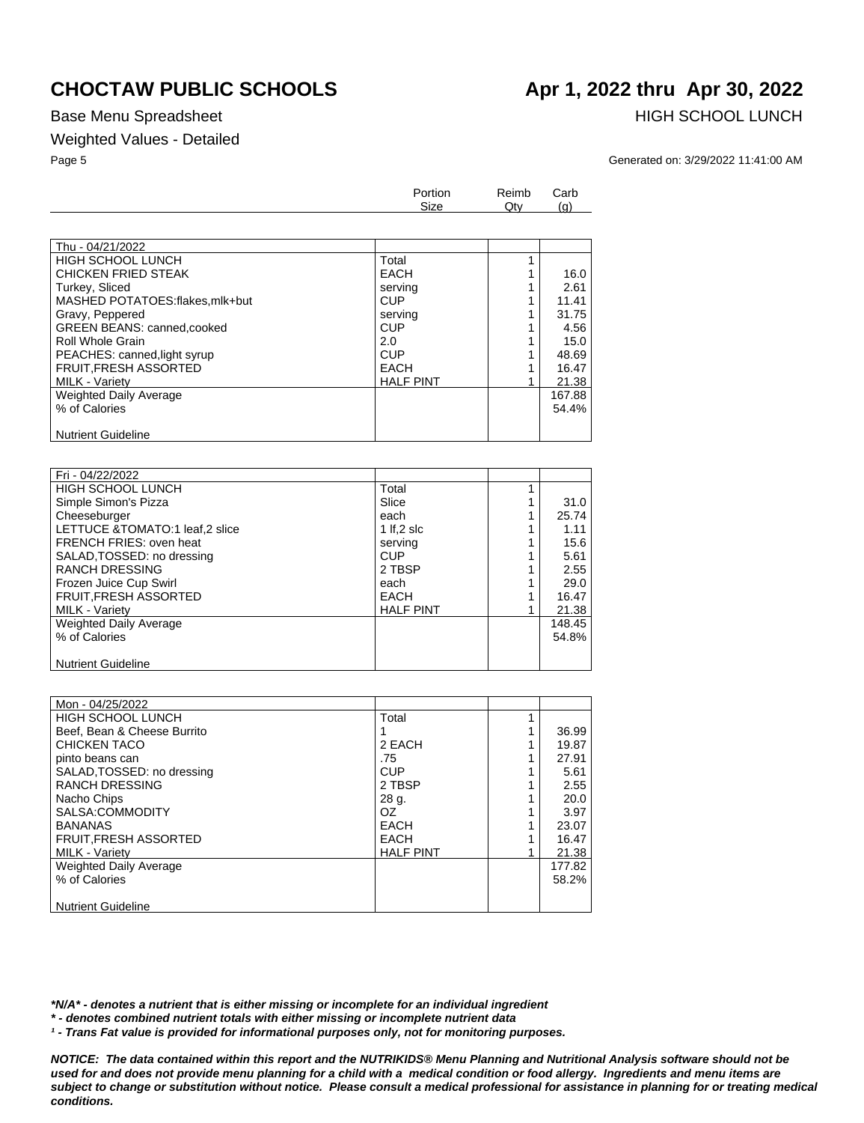### Base Menu Spreadsheet **HIGH SCHOOL LUNCH**

### Weighted Values - Detailed

### Page 5 Generated on: 3/29/2022 11:41:00 AM

|                                    | Portion<br>Size  |  | Carb<br>(q) |
|------------------------------------|------------------|--|-------------|
|                                    |                  |  |             |
| Thu - 04/21/2022                   |                  |  |             |
| <b>HIGH SCHOOL LUNCH</b>           | Total            |  |             |
| <b>CHICKEN FRIED STEAK</b>         | EACH             |  | 16.0        |
| Turkey, Sliced                     | serving          |  | 2.61        |
| MASHED POTATOES:flakes,mlk+but     | <b>CUP</b>       |  | 11.41       |
| Gravy, Peppered                    | serving          |  | 31.75       |
| <b>GREEN BEANS: canned, cooked</b> | <b>CUP</b>       |  | 4.56        |
| Roll Whole Grain                   | 2.0              |  | 15.0        |
| PEACHES: canned, light syrup       | <b>CUP</b>       |  | 48.69       |
| <b>FRUIT, FRESH ASSORTED</b>       | <b>EACH</b>      |  | 16.47       |
| MILK - Variety                     | <b>HALF PINT</b> |  | 21.38       |
| Weighted Daily Average             |                  |  | 167.88      |
| % of Calories                      |                  |  | 54.4%       |
|                                    |                  |  |             |
| <b>Nutrient Guideline</b>          |                  |  |             |

| Fri - 04/22/2022               |                  |        |
|--------------------------------|------------------|--------|
| <b>HIGH SCHOOL LUNCH</b>       | Total            |        |
| Simple Simon's Pizza           | Slice            | 31.0   |
| Cheeseburger                   | each             | 25.74  |
| LETTUCE &TOMATO:1 leaf,2 slice | 1 If.2 slc       | 1.11   |
| <b>FRENCH FRIES: oven heat</b> | serving          | 15.6   |
| SALAD, TOSSED: no dressing     | <b>CUP</b>       | 5.61   |
| <b>RANCH DRESSING</b>          | 2 TBSP           | 2.55   |
| Frozen Juice Cup Swirl         | each             | 29.0   |
| <b>FRUIT, FRESH ASSORTED</b>   | <b>EACH</b>      | 16.47  |
| MILK - Variety                 | <b>HALF PINT</b> | 21.38  |
| <b>Weighted Daily Average</b>  |                  | 148.45 |
| % of Calories                  |                  | 54.8%  |
|                                |                  |        |
| <b>Nutrient Guideline</b>      |                  |        |

| Mon - 04/25/2022            |                  |        |
|-----------------------------|------------------|--------|
| HIGH SCHOOL LUNCH           | Total            |        |
| Beef, Bean & Cheese Burrito |                  | 36.99  |
| <b>CHICKEN TACO</b>         | 2 EACH           | 19.87  |
| pinto beans can             | .75              | 27.91  |
| SALAD, TOSSED: no dressing  | CUP              | 5.61   |
| <b>RANCH DRESSING</b>       | 2 TBSP           | 2.55   |
| Nacho Chips                 | 28 g.            | 20.0   |
| SALSA:COMMODITY             | OZ.              | 3.97   |
| <b>BANANAS</b>              | EACH             | 23.07  |
| <b>FRUIT.FRESH ASSORTED</b> | EACH             | 16.47  |
| MILK - Variety              | <b>HALF PINT</b> | 21.38  |
| Weighted Daily Average      |                  | 177.82 |
| % of Calories               |                  | 58.2%  |
|                             |                  |        |
| <b>Nutrient Guideline</b>   |                  |        |

*\*N/A\* - denotes a nutrient that is either missing or incomplete for an individual ingredient*

*\* - denotes combined nutrient totals with either missing or incomplete nutrient data*

*¹ - Trans Fat value is provided for informational purposes only, not for monitoring purposes.*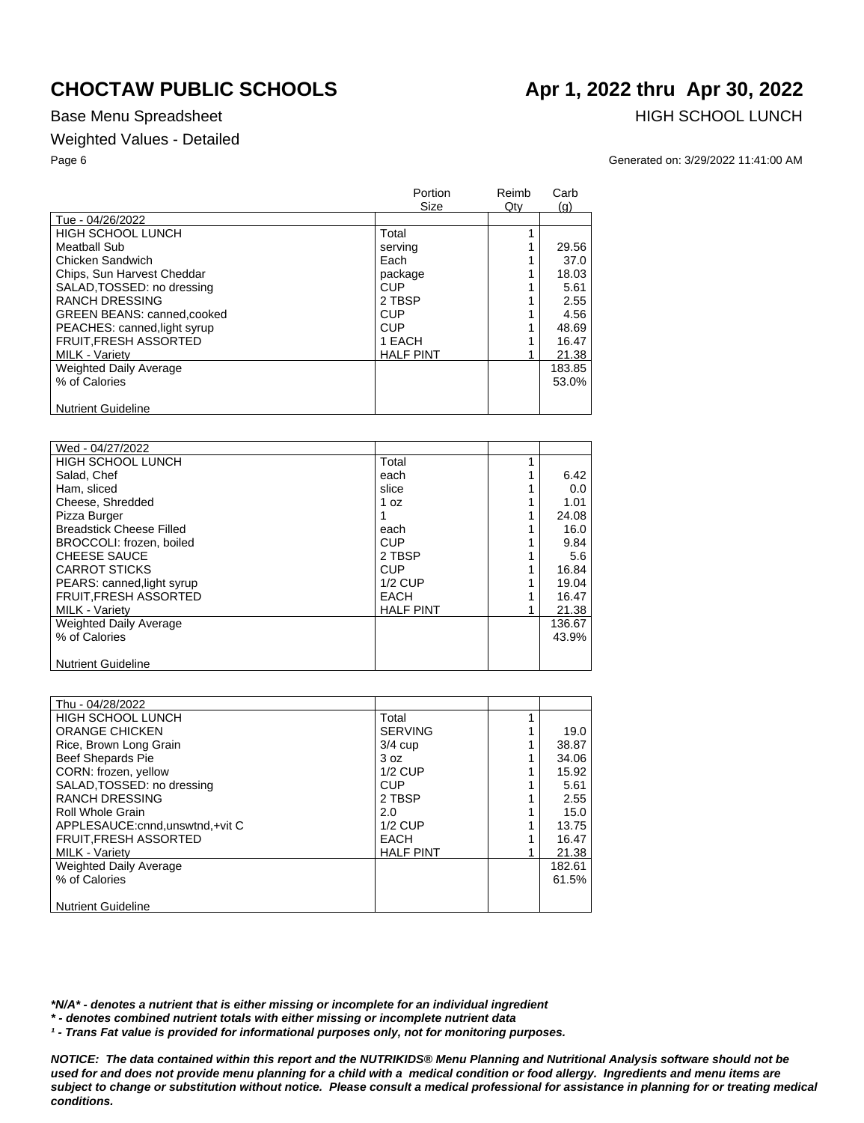## Weighted Values - Detailed

## **CHOCTAW PUBLIC SCHOOLS Apr 1, 2022 thru Apr 30, 2022**

Base Menu Spreadsheet **HIGH SCHOOL LUNCH** 

Page 6 Generated on: 3/29/2022 11:41:00 AM

|                                    | Portion<br>Size  | Reimb<br>$Q$ ty | Carb<br>(q) |
|------------------------------------|------------------|-----------------|-------------|
| Tue - 04/26/2022                   |                  |                 |             |
| <b>HIGH SCHOOL LUNCH</b>           | Total            |                 |             |
| Meatball Sub                       | serving          |                 | 29.56       |
| Chicken Sandwich                   | Each             |                 | 37.0        |
| Chips, Sun Harvest Cheddar         | package          |                 | 18.03       |
| SALAD, TOSSED: no dressing         | <b>CUP</b>       |                 | 5.61        |
| <b>RANCH DRESSING</b>              | 2 TBSP           |                 | 2.55        |
| <b>GREEN BEANS: canned, cooked</b> | <b>CUP</b>       |                 | 4.56        |
| PEACHES: canned, light syrup       | <b>CUP</b>       |                 | 48.69       |
| <b>FRUIT, FRESH ASSORTED</b>       | 1 EACH           |                 | 16.47       |
| <b>MILK - Variety</b>              | <b>HALF PINT</b> |                 | 21.38       |
| <b>Weighted Daily Average</b>      |                  |                 | 183.85      |
| % of Calories                      |                  |                 | 53.0%       |
| <b>Nutrient Guideline</b>          |                  |                 |             |

| Wed - 04/27/2022                |                  |        |
|---------------------------------|------------------|--------|
| HIGH SCHOOL LUNCH               | Total            |        |
| Salad, Chef                     | each             | 6.42   |
| Ham, sliced                     | slice            | 0.0    |
| Cheese, Shredded                | 1 oz             | 1.01   |
| Pizza Burger                    |                  | 24.08  |
| <b>Breadstick Cheese Filled</b> | each             | 16.0   |
| BROCCOLI: frozen, boiled        | CUP              | 9.84   |
| <b>CHEESE SAUCE</b>             | 2 TBSP           | 5.6    |
| <b>CARROT STICKS</b>            | <b>CUP</b>       | 16.84  |
| PEARS: canned, light syrup      | $1/2$ CUP        | 19.04  |
| <b>FRUIT, FRESH ASSORTED</b>    | <b>EACH</b>      | 16.47  |
| <b>MILK - Variety</b>           | <b>HALF PINT</b> | 21.38  |
| <b>Weighted Daily Average</b>   |                  | 136.67 |
| % of Calories                   |                  | 43.9%  |
|                                 |                  |        |
| <b>Nutrient Guideline</b>       |                  |        |

| Thu - 04/28/2022                  |                  |        |
|-----------------------------------|------------------|--------|
| HIGH SCHOOL LUNCH                 | Total            |        |
| <b>ORANGE CHICKEN</b>             | <b>SERVING</b>   | 19.0   |
| Rice, Brown Long Grain            | $3/4$ cup        | 38.87  |
| <b>Beef Shepards Pie</b>          | 3 oz             | 34.06  |
| CORN: frozen, yellow              | $1/2$ CUP        | 15.92  |
| SALAD, TOSSED: no dressing        | <b>CUP</b>       | 5.61   |
| <b>RANCH DRESSING</b>             | 2 TBSP           | 2.55   |
| Roll Whole Grain                  | 2.0              | 15.0   |
| APPLESAUCE: cnnd, unswtnd, +vit C | $1/2$ CUP        | 13.75  |
| <b>FRUIT, FRESH ASSORTED</b>      | <b>EACH</b>      | 16.47  |
| MILK - Variety                    | <b>HALF PINT</b> | 21.38  |
| <b>Weighted Daily Average</b>     |                  | 182.61 |
| % of Calories                     |                  | 61.5%  |
|                                   |                  |        |
| <b>Nutrient Guideline</b>         |                  |        |

*\*N/A\* - denotes a nutrient that is either missing or incomplete for an individual ingredient*

*\* - denotes combined nutrient totals with either missing or incomplete nutrient data*

*¹ - Trans Fat value is provided for informational purposes only, not for monitoring purposes.*